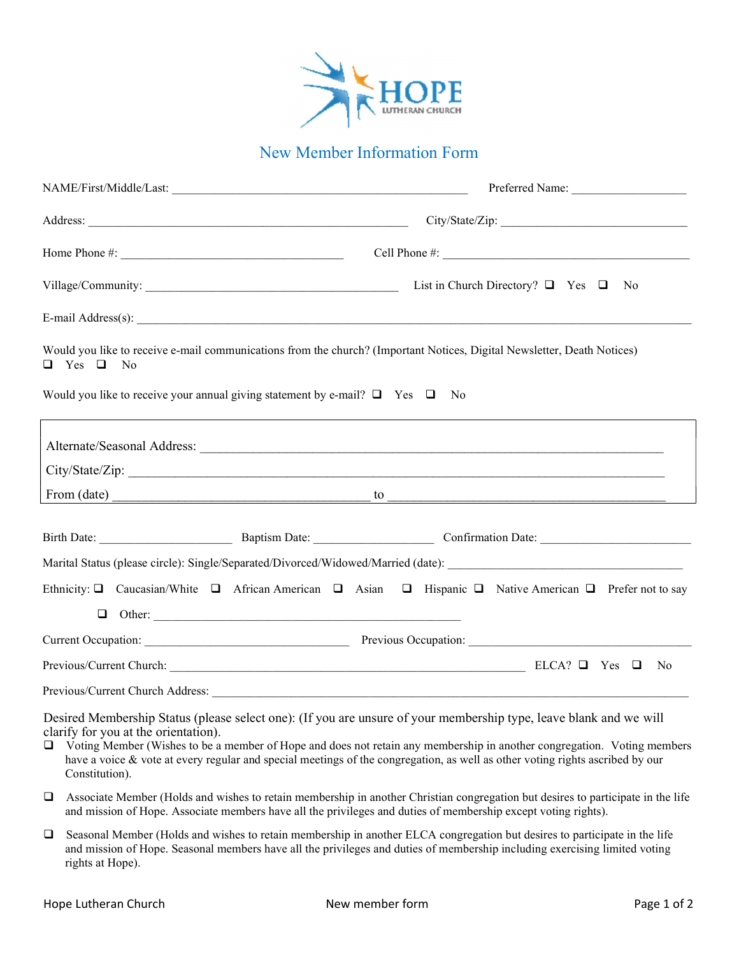

# New Member Information Form

|                                                        |                                                                                                                                                                                                                                                                                                                                                                                  |      | Preferred Name: |     |
|--------------------------------------------------------|----------------------------------------------------------------------------------------------------------------------------------------------------------------------------------------------------------------------------------------------------------------------------------------------------------------------------------------------------------------------------------|------|-----------------|-----|
|                                                        | City/State/Zip:                                                                                                                                                                                                                                                                                                                                                                  |      |                 |     |
|                                                        | Home Phone #: $\frac{1}{2}$ $\frac{1}{2}$ $\frac{1}{2}$ $\frac{1}{2}$ $\frac{1}{2}$ $\frac{1}{2}$ $\frac{1}{2}$ $\frac{1}{2}$ $\frac{1}{2}$ $\frac{1}{2}$ $\frac{1}{2}$ $\frac{1}{2}$ $\frac{1}{2}$ $\frac{1}{2}$ $\frac{1}{2}$ $\frac{1}{2}$ $\frac{1}{2}$ $\frac{1}{2}$ $\frac{1}{2}$ $\frac{1}{2}$ $\frac{1}{2$                                                               |      |                 |     |
| List in Church Directory? $\Box$ Yes $\Box$<br>No      |                                                                                                                                                                                                                                                                                                                                                                                  |      |                 |     |
|                                                        |                                                                                                                                                                                                                                                                                                                                                                                  |      |                 |     |
| $\Box$ Yes $\Box$<br>- No                              | Would you like to receive e-mail communications from the church? (Important Notices, Digital Newsletter, Death Notices)                                                                                                                                                                                                                                                          |      |                 |     |
|                                                        | Would you like to receive your annual giving statement by e-mail? $\Box$ Yes $\Box$                                                                                                                                                                                                                                                                                              | - No |                 |     |
|                                                        |                                                                                                                                                                                                                                                                                                                                                                                  |      |                 |     |
|                                                        |                                                                                                                                                                                                                                                                                                                                                                                  |      |                 |     |
|                                                        |                                                                                                                                                                                                                                                                                                                                                                                  |      |                 |     |
|                                                        |                                                                                                                                                                                                                                                                                                                                                                                  |      |                 |     |
|                                                        |                                                                                                                                                                                                                                                                                                                                                                                  |      |                 |     |
|                                                        | Ethnicity: Q Caucasian/White Q African American Q Asian Q Hispanic Q Native American Q Prefer not to say                                                                                                                                                                                                                                                                         |      |                 |     |
|                                                        |                                                                                                                                                                                                                                                                                                                                                                                  |      |                 |     |
|                                                        |                                                                                                                                                                                                                                                                                                                                                                                  |      |                 |     |
|                                                        |                                                                                                                                                                                                                                                                                                                                                                                  |      |                 | No. |
|                                                        |                                                                                                                                                                                                                                                                                                                                                                                  |      |                 |     |
| clarify for you at the orientation).<br>Constitution). | Desired Membership Status (please select one): (If you are unsure of your membership type, leave blank and we will<br>□ Voting Member (Wishes to be a member of Hope and does not retain any membership in another congregation. Voting members<br>have a voice & vote at every regular and special meetings of the congregation, as well as other voting rights ascribed by our |      |                 |     |
| $\Box$                                                 | Associate Member (Holds and wishes to retain membership in another Christian congregation but desires to participate in the life                                                                                                                                                                                                                                                 |      |                 |     |

- and mission of Hope. Associate members have all the privileges and duties of membership except voting rights).
- Seasonal Member (Holds and wishes to retain membership in another ELCA congregation but desires to participate in the life and mission of Hope. Seasonal members have all the privileges and duties of membership including exercising limited voting rights at Hope).